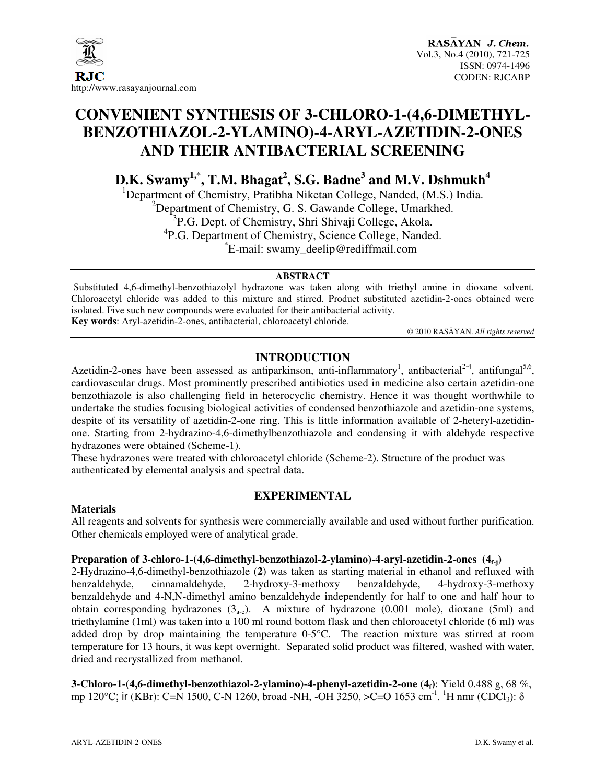

### **CONVENIENT SYNTHESIS OF 3-CHLORO-1-(4,6-DIMETHYL-BENZOTHIAZOL-2-YLAMINO)-4-ARYL-AZETIDIN-2-ONES AND THEIR ANTIBACTERIAL SCREENING**

**D.K. Swamy1,\*, T.M. Bhagat<sup>2</sup> , S.G. Badne<sup>3</sup> and M.V. Dshmukh<sup>4</sup>**

<sup>1</sup>Department of Chemistry, Pratibha Niketan College, Nanded, (M.S.) India.  $2$ Department of Chemistry, G. S. Gawande College, Umarkhed. <sup>3</sup>P.G. Dept. of Chemistry, Shri Shivaji College, Akola. <sup>4</sup>P.G. Department of Chemistry, Science College, Nanded. **\*** E-mail: swamy\_deelip@rediffmail.com

#### **ABSTRACT**

Substituted 4,6-dimethyl-benzothiazolyl hydrazone was taken along with triethyl amine in dioxane solvent. Chloroacetyl chloride was added to this mixture and stirred. Product substituted azetidin-2-ones obtained were isolated. Five such new compounds were evaluated for their antibacterial activity. **Key words**: Aryl-azetidin-2-ones, antibacterial, chloroacetyl chloride.

© 2010 RASĀYAN. *All rights reserved*

#### **INTRODUCTION**

Azetidin-2-ones have been assessed as antiparkinson, anti-inflammatory<sup>1</sup>, antibacterial<sup>2-4</sup>, antifungal<sup>5,6</sup>, cardiovascular drugs. Most prominently prescribed antibiotics used in medicine also certain azetidin-one benzothiazole is also challenging field in heterocyclic chemistry. Hence it was thought worthwhile to undertake the studies focusing biological activities of condensed benzothiazole and azetidin-one systems, despite of its versatility of azetidin-2-one ring. This is little information available of 2-heteryl-azetidinone. Starting from 2-hydrazino-4,6-dimethylbenzothiazole and condensing it with aldehyde respective hydrazones were obtained (Scheme-1).

These hydrazones were treated with chloroacetyl chloride (Scheme-2). Structure of the product was authenticated by elemental analysis and spectral data.

#### **EXPERIMENTAL**

#### **Materials**

All reagents and solvents for synthesis were commercially available and used without further purification. Other chemicals employed were of analytical grade.

#### **Preparation of 3-chloro-1-(4,6-dimethyl-benzothiazol-2-ylamino)-4-aryl-azetidin-2-ones (4f-j)**

2-Hydrazino-4,6-dimethyl-benzothiazole (**2**) was taken as starting material in ethanol and refluxed with benzaldehyde, cinnamaldehyde, 2-hydroxy-3-methoxy benzaldehyde, 4-hydroxy-3-methoxy benzaldehyde and 4-N,N-dimethyl amino benzaldehyde independently for half to one and half hour to obtain corresponding hydrazones  $(3<sub>a-e</sub>)$ . A mixture of hydrazone  $(0.001$  mole), dioxane (5ml) and triethylamine (1ml) was taken into a 100 ml round bottom flask and then chloroacetyl chloride (6 ml) was added drop by drop maintaining the temperature 0-5°C. The reaction mixture was stirred at room temperature for 13 hours, it was kept overnight. Separated solid product was filtered, washed with water, dried and recrystallized from methanol.

**3-Chloro-1-(4,6-dimethyl-benzothiazol-2-ylamino)-4-phenyl-azetidin-2-one (4f)**: Yield 0.488 g, 68 %, mp 120°C; ir (KBr): C=N 1500, C-N 1260, broad -NH, -OH 3250, >C=O 1653 cm<sup>-1</sup>. <sup>1</sup>H nmr (CDCl<sub>3</sub>): δ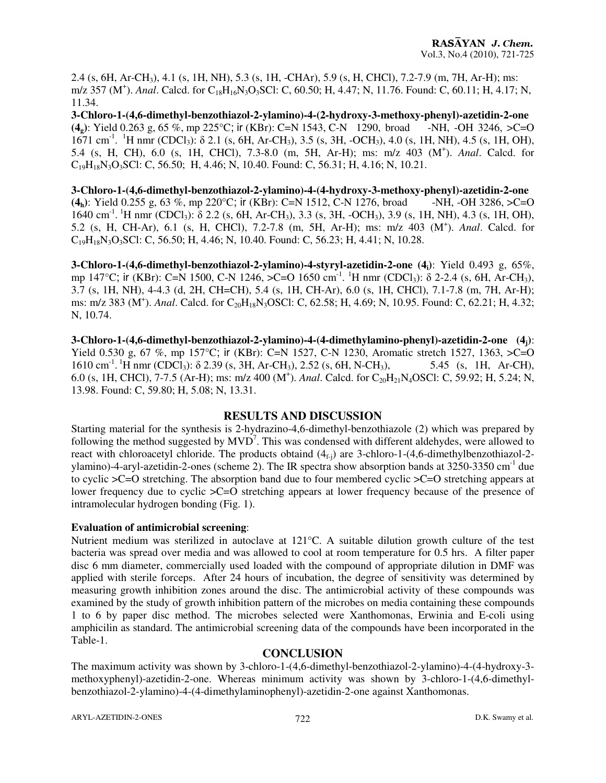2.4 (s, 6H, Ar-CH3), 4.1 (s, 1H, NH), 5.3 (s, 1H, -CHAr), 5.9 (s, H, CHCl), 7.2-7.9 (m, 7H, Ar-H); ms: m/z 357 (M<sup>+</sup>). *Anal*. Calcd. for C<sub>18</sub>H<sub>16</sub>N<sub>3</sub>O<sub>3</sub>SCl: C, 60.50; H, 4.47; N, 11.76. Found: C, 60.11; H, 4.17; N, 11.34.

**3-Chloro-1-(4,6-dimethyl-benzothiazol-2-ylamino)-4-(2-hydroxy-3-methoxy-phenyl)-azetidin-2-one (4g)**: Yield 0.263 g, 65 %, mp 225°C; ir (KBr): C=N 1543, C-N 1290, broad -NH, -OH 3246, >C=O  $1671$  cm<sup>-1</sup>. <sup>1</sup>H nmr (CDCl<sub>3</sub>): δ 2.1 (s, 6H, Ar-CH<sub>3</sub>), 3.5 (s, 3H, -OCH<sub>3</sub>), 4.0 (s, 1H, NH), 4.5 (s, 1H, OH), 5.4 (s, H, CH), 6.0 (s, 1H, CHCl), 7.3-8.0 (m, 5H, Ar-H); ms: m/z 403 (M<sup>+</sup> ). *Anal*. Calcd. for  $C_{19}H_{18}N_3O_3SU$ : C, 56.50; H, 4.46; N, 10.40. Found: C, 56.31; H, 4.16; N, 10.21.

**3-Chloro-1-(4,6-dimethyl-benzothiazol-2-ylamino)-4-(4-hydroxy-3-methoxy-phenyl)-azetidin-2-one**   $(4_h)$ : Yield 0.255 g, 63 %, mp 220°C; ir (KBr): C=N 1512, C-N 1276, broad -NH, -OH 3286,  $>$ C=O 1640 cm<sup>-1</sup>. <sup>1</sup>H nmr (CDCl<sub>3</sub>): δ 2.2 (s, 6H, Ar-CH<sub>3</sub>), 3.3 (s, 3H, -OCH<sub>3</sub>), 3.9 (s, 1H, NH), 4.3 (s, 1H, OH), 5.2 (s, H, CH-Ar), 6.1 (s, H, CHCl), 7.2-7.8 (m, 5H, Ar-H); ms: m/z 403 (M<sup>+</sup> ). *Anal*. Calcd. for  $C_{19}H_{18}N_3O_3SCl$ : C, 56.50; H, 4.46; N, 10.40. Found: C, 56.23; H, 4.41; N, 10.28.

**3-Chloro-1-(4,6-dimethyl-benzothiazol-2-ylamino)-4-styryl-azetidin-2-one (4i)**: Yield 0.493 g, 65%, mp 147°C; ir (KBr): C=N 1500, C-N 1246, >C=O 1650 cm<sup>-1</sup>. <sup>1</sup>H nmr (CDCl<sub>3</sub>):  $\delta$  2-2.4 (s, 6H, Ar-CH<sub>3</sub>), 3.7 (s, 1H, NH), 4-4.3 (d, 2H, CH=CH), 5.4 (s, 1H, CH-Ar), 6.0 (s, 1H, CHCl), 7.1-7.8 (m, 7H, Ar-H); ms: m/z 383 (M<sup>+</sup>). *Anal*. Calcd. for C<sub>20</sub>H<sub>18</sub>N<sub>3</sub>OSCl: C, 62.58; H, 4.69; N, 10.95. Found: C, 62.21; H, 4.32; N, 10.74.

**3-Chloro-1-(4,6-dimethyl-benzothiazol-2-ylamino)-4-(4-dimethylamino-phenyl)-azetidin-2-one (4j)**: Yield 0.530 g, 67 %, mp 157°C; ir (KBr): C=N 1527, C-N 1230, Aromatic stretch 1527, 1363, >C=O 1610 cm<sup>-1</sup>. <sup>1</sup>H nmr (CDCl<sub>3</sub>):  $\delta$  2.39 (s, 3H, Ar-CH<sub>3</sub>), 2.52 (s, 6H, N-CH<sub>3</sub>), 5.45 (s, 1H, Ar-CH), 1610 cm<sup>-1</sup>. <sup>1</sup>H nmr (CDCl<sub>3</sub>):  $\delta$  2.39 (s, 3H, Ar-CH<sub>3</sub>), 2.52 (s, 6H, N-CH<sub>3</sub>), 5.45 (s, 1H, Ar-CH), 6.0 (s, 1H, CHCl), 7-7.5 (Ar-H); ms: m/z 400 (M<sup>+</sup>). Anal. Calcd. for C<sub>20</sub>H<sub>21</sub>N<sub>4</sub>OSCl: C, 59.92; H, 5.24; N, 13.98. Found: C, 59.80; H, 5.08; N, 13.31.

#### **RESULTS AND DISCUSSION**

Starting material for the synthesis is 2-hydrazino-4,6-dimethyl-benzothiazole (2) which was prepared by following the method suggested by  $MVD<sup>7</sup>$ . This was condensed with different aldehydes, were allowed to react with chloroacetyl chloride. The products obtaind  $(4<sub>f-1</sub>)$  are 3-chloro-1-(4,6-dimethylbenzothiazol-2ylamino)-4-aryl-azetidin-2-ones (scheme 2). The IR spectra show absorption bands at 3250-3350 cm<sup>-1</sup> due to cyclic >C=O stretching. The absorption band due to four membered cyclic >C=O stretching appears at lower frequency due to cyclic >C=O stretching appears at lower frequency because of the presence of intramolecular hydrogen bonding (Fig. 1).

#### **Evaluation of antimicrobial screening**:

Nutrient medium was sterilized in autoclave at 121°C. A suitable dilution growth culture of the test bacteria was spread over media and was allowed to cool at room temperature for 0.5 hrs. A filter paper disc 6 mm diameter, commercially used loaded with the compound of appropriate dilution in DMF was applied with sterile forceps. After 24 hours of incubation, the degree of sensitivity was determined by measuring growth inhibition zones around the disc. The antimicrobial activity of these compounds was examined by the study of growth inhibition pattern of the microbes on media containing these compounds 1 to 6 by paper disc method. The microbes selected were Xanthomonas, Erwinia and E-coli using amphicilin as standard. The antimicrobial screening data of the compounds have been incorporated in the Table-1.

#### **CONCLUSION**

The maximum activity was shown by 3-chloro-1-(4,6-dimethyl-benzothiazol-2-ylamino)-4-(4-hydroxy-3 methoxyphenyl)-azetidin-2-one. Whereas minimum activity was shown by 3-chloro-1-(4,6-dimethylbenzothiazol-2-ylamino)-4-(4-dimethylaminophenyl)-azetidin-2-one against Xanthomonas.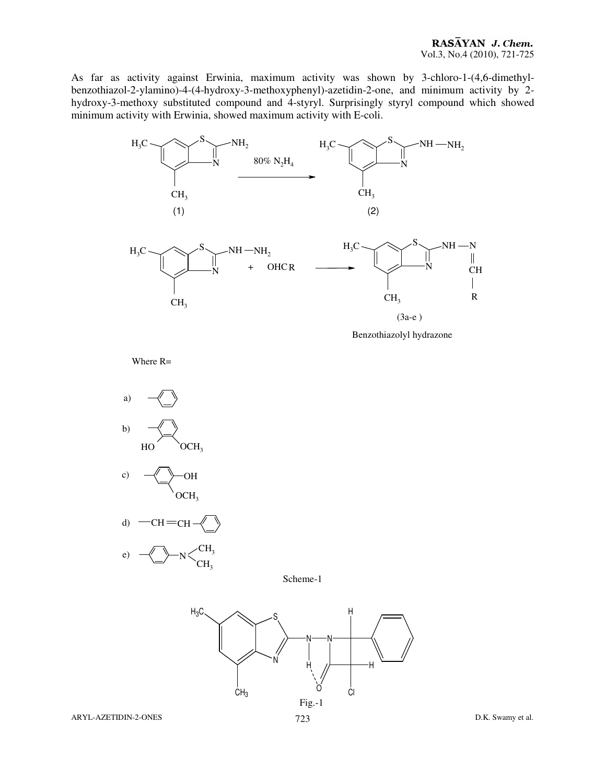As far as activity against Erwinia, maximum activity was shown by 3-chloro-1-(4,6-dimethylbenzothiazol-2-ylamino)-4-(4-hydroxy-3-methoxyphenyl)-azetidin-2-one, and minimum activity by 2 hydroxy-3-methoxy substituted compound and 4-styryl. Surprisingly styryl compound which showed minimum activity with Erwinia, showed maximum activity with E-coli.



Benzothiazolyl hydrazone

Where R=







Scheme-1

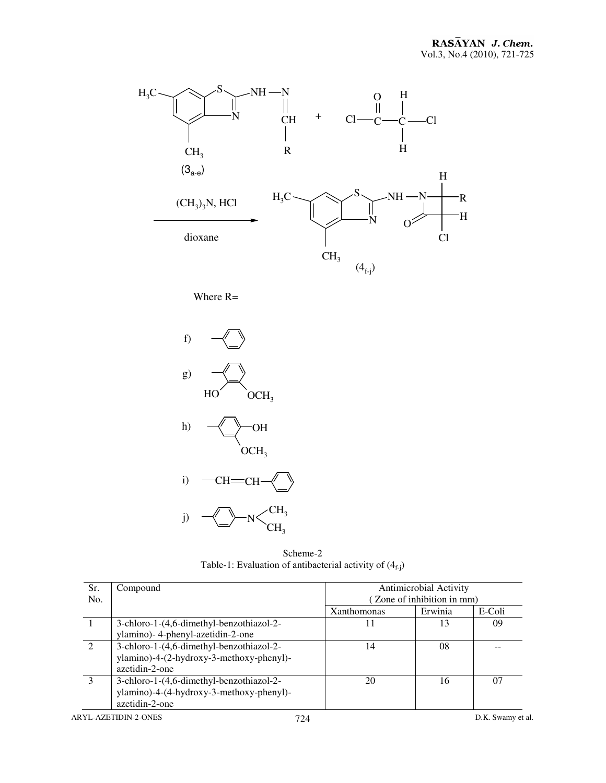

Where R=



Scheme-2 Table-1: Evaluation of antibacterial activity of  $(4_{f-j})$ 

| Sr. | Compound                                                                             | Antimicrobial Activity     |         |        |
|-----|--------------------------------------------------------------------------------------|----------------------------|---------|--------|
| No. |                                                                                      | (Zone of inhibition in mm) |         |        |
|     |                                                                                      | <b>Xanthomonas</b>         | Erwinia | E-Coli |
|     | 3-chloro-1-(4,6-dimethyl-benzothiazol-2-<br>ylamino)- 4-phenyl-azetidin-2-one        |                            | 13      | 09     |
|     |                                                                                      |                            |         |        |
|     | 3-chloro-1-(4,6-dimethyl-benzothiazol-2-<br>ylamino)-4-(2-hydroxy-3-methoxy-phenyl)- | 14                         | 08      |        |
|     | azetidin-2-one                                                                       |                            |         |        |
|     | 3-chloro-1-(4,6-dimethyl-benzothiazol-2-                                             | 20                         | 16      | 07     |
|     | ylamino)-4-(4-hydroxy-3-methoxy-phenyl)-                                             |                            |         |        |
|     | azetidin-2-one                                                                       |                            |         |        |